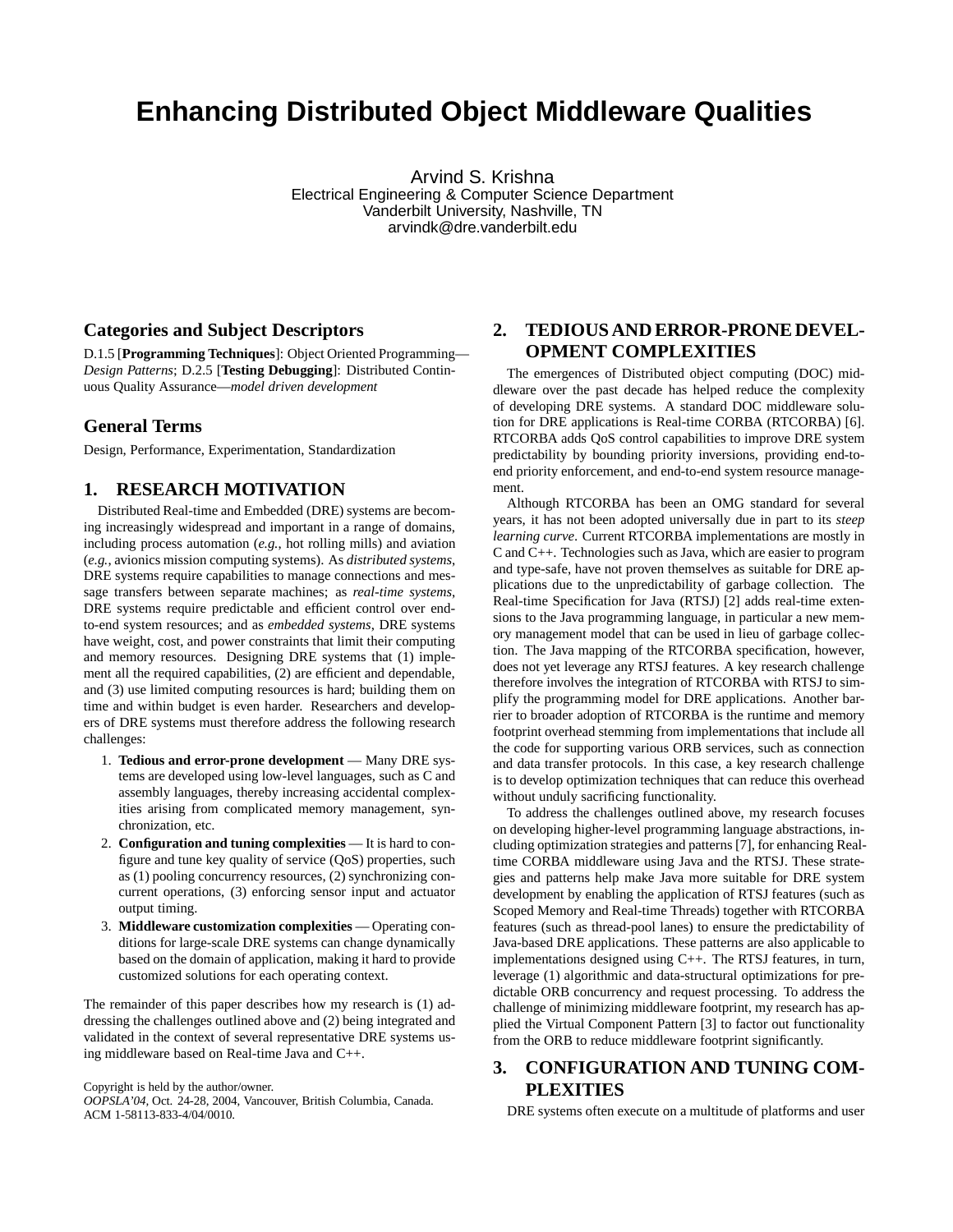# **Enhancing Distributed Object Middleware Qualities**

Arvind S. Krishna Electrical Engineering & Computer Science Department Vanderbilt University, Nashville, TN arvindk@dre.vanderbilt.edu

#### **Categories and Subject Descriptors**

D.1.5 [**Programming Techniques**]: Object Oriented Programming— *Design Patterns*; D.2.5 [**Testing Debugging**]: Distributed Continuous Quality Assurance—*model driven development*

#### **General Terms**

Design, Performance, Experimentation, Standardization

#### **1. RESEARCH MOTIVATION**

Distributed Real-time and Embedded (DRE) systems are becoming increasingly widespread and important in a range of domains, including process automation (*e.g.*, hot rolling mills) and aviation (*e.g.*, avionics mission computing systems). As *distributed systems*, DRE systems require capabilities to manage connections and message transfers between separate machines; as *real-time systems*, DRE systems require predictable and efficient control over endto-end system resources; and as *embedded systems*, DRE systems have weight, cost, and power constraints that limit their computing and memory resources. Designing DRE systems that (1) implement all the required capabilities, (2) are efficient and dependable, and (3) use limited computing resources is hard; building them on time and within budget is even harder. Researchers and developers of DRE systems must therefore address the following research challenges:

- 1. **Tedious and error-prone development** Many DRE systems are developed using low-level languages, such as C and assembly languages, thereby increasing accidental complexities arising from complicated memory management, synchronization, etc.
- 2. **Configuration and tuning complexities** It is hard to configure and tune key quality of service (QoS) properties, such as (1) pooling concurrency resources, (2) synchronizing concurrent operations, (3) enforcing sensor input and actuator output timing.
- 3. **Middleware customization complexities** Operating conditions for large-scale DRE systems can change dynamically based on the domain of application, making it hard to provide customized solutions for each operating context.

The remainder of this paper describes how my research is (1) addressing the challenges outlined above and (2) being integrated and validated in the context of several representative DRE systems using middleware based on Real-time Java and C++.

Copyright is held by the author/owner.

*OOPSLA'04,* Oct. 24-28, 2004, Vancouver, British Columbia, Canada. ACM 1-58113-833-4/04/0010.

# **2. TEDIOUS AND ERROR-PRONE DEVEL-OPMENT COMPLEXITIES**

The emergences of Distributed object computing (DOC) middleware over the past decade has helped reduce the complexity of developing DRE systems. A standard DOC middleware solution for DRE applications is Real-time CORBA (RTCORBA) [6]. RTCORBA adds QoS control capabilities to improve DRE system predictability by bounding priority inversions, providing end-toend priority enforcement, and end-to-end system resource management.

Although RTCORBA has been an OMG standard for several years, it has not been adopted universally due in part to its *steep learning curve*. Current RTCORBA implementations are mostly in C and C++. Technologies such as Java, which are easier to program and type-safe, have not proven themselves as suitable for DRE applications due to the unpredictability of garbage collection. The Real-time Specification for Java (RTSJ) [2] adds real-time extensions to the Java programming language, in particular a new memory management model that can be used in lieu of garbage collection. The Java mapping of the RTCORBA specification, however, does not yet leverage any RTSJ features. A key research challenge therefore involves the integration of RTCORBA with RTSJ to simplify the programming model for DRE applications. Another barrier to broader adoption of RTCORBA is the runtime and memory footprint overhead stemming from implementations that include all the code for supporting various ORB services, such as connection and data transfer protocols. In this case, a key research challenge is to develop optimization techniques that can reduce this overhead without unduly sacrificing functionality.

To address the challenges outlined above, my research focuses on developing higher-level programming language abstractions, including optimization strategies and patterns [7], for enhancing Realtime CORBA middleware using Java and the RTSJ. These strategies and patterns help make Java more suitable for DRE system development by enabling the application of RTSJ features (such as Scoped Memory and Real-time Threads) together with RTCORBA features (such as thread-pool lanes) to ensure the predictability of Java-based DRE applications. These patterns are also applicable to implementations designed using C++. The RTSJ features, in turn, leverage (1) algorithmic and data-structural optimizations for predictable ORB concurrency and request processing. To address the challenge of minimizing middleware footprint, my research has applied the Virtual Component Pattern [3] to factor out functionality from the ORB to reduce middleware footprint significantly.

# **3. CONFIGURATION AND TUNING COM-PLEXITIES**

DRE systems often execute on a multitude of platforms and user